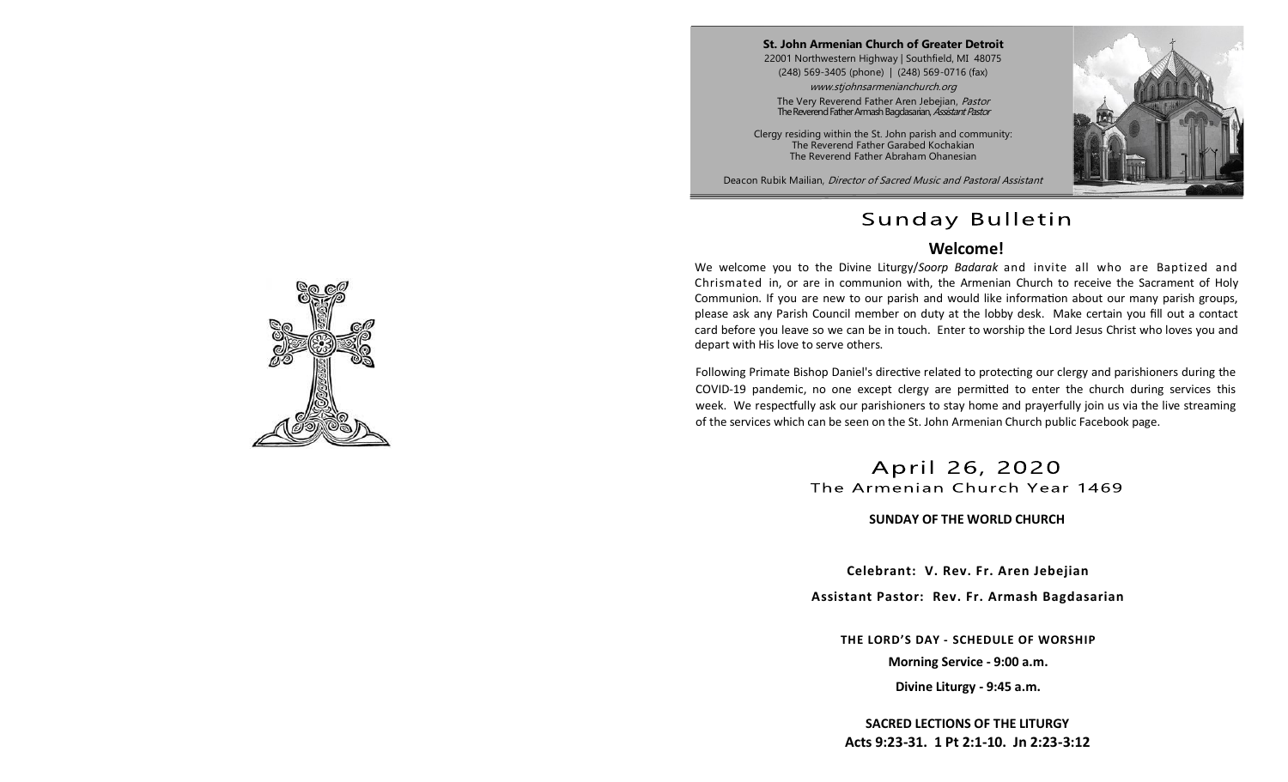**St. John Armenian Church of Greater Detroit** 22001 Northwestern Highway | Southfield, MI 48075 (248) 569-3405 (phone) | (248) 569-0716 (fax) www.stjohnsarmenianchurch.org

The Very Reverend Father Aren Jebejian, Pastor The Reverend Father Armash Bagdasarian, Assistant Pastor

Clergy residing within the St. John parish and community: The Reverend Father Garabed Kochakian The Reverend Father Abraham Ohanesian

Deacon Rubik Mailian, Director of Sacred Music and Pastoral Assistant



## Sunday Bulletin

#### **Welcome!**

We welcome you to the Divine Liturgy/*Soorp Badarak* and invite all who are Baptized and Chrismated in, or are in communion with, the Armenian Church to receive the Sacrament of Holy Communion. If you are new to our parish and would like information about our many parish groups, please ask any Parish Council member on duty at the lobby desk. Make certain you fill out a contact card before you leave so we can be in touch. Enter to worship the Lord Jesus Christ who loves you and depart with His love to serve others.

Following Primate Bishop Daniel's directive related to protecting our clergy and parishioners during the COVID-19 pandemic, no one except clergy are permitted to enter the church during services this week. We respectfully ask our parishioners to stay home and prayerfully join us via the live streaming of the services which can be seen on the St. John Armenian Church public Facebook page.

> April 26, 2020 The Armenian Church Year 1469

> > **SUNDAY OF THE WORLD CHURCH**

**Celebrant: V. Rev. Fr. Aren Jebejian**

**Assistant Pastor: Rev. Fr. Armash Bagdasarian**

**THE LORD'S DAY - SCHEDULE OF WORSHIP**

**Morning Service - 9:00 a.m.**

**Divine Liturgy - 9:45 a.m.**

**SACRED LECTIONS OF THE LITURGY Acts 9:23-31. 1 Pt 2:1-10. Jn 2:23-3:12** 

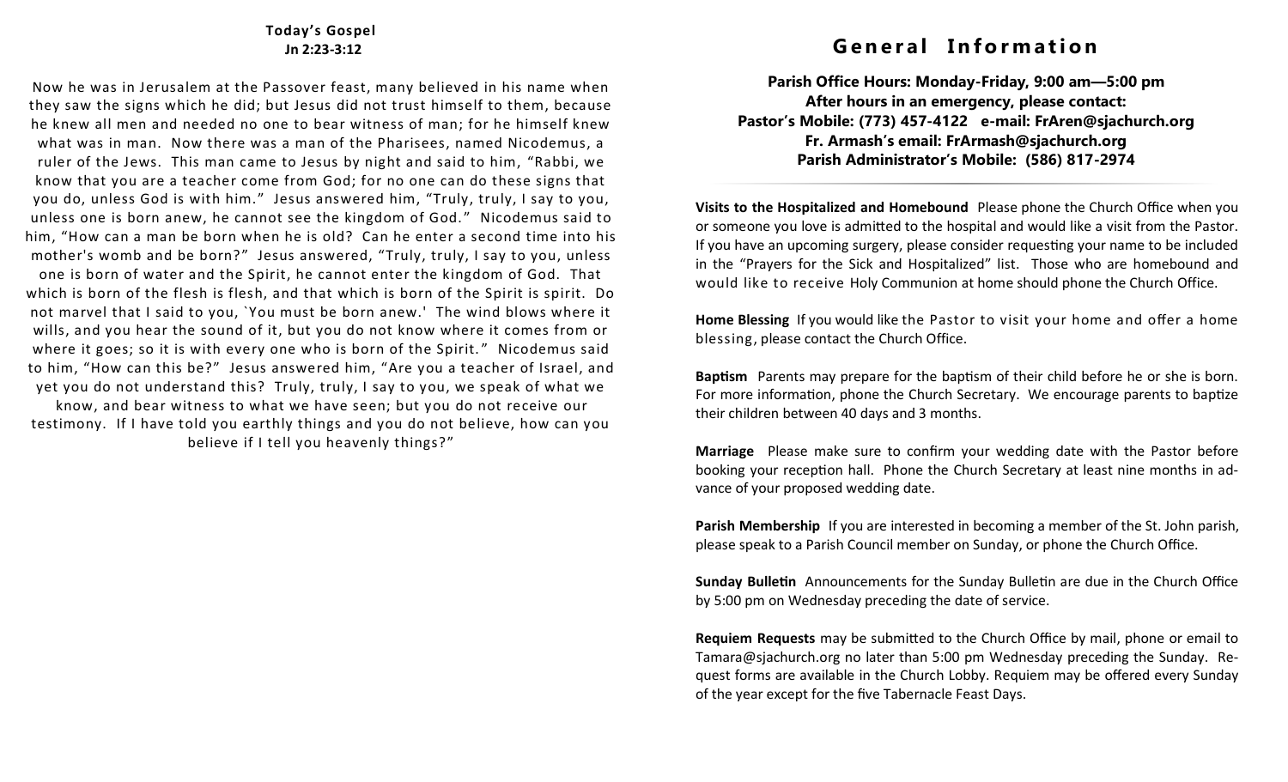#### **Today's Gospel Jn 2:23-3:12**

Now he was in Jerusalem at the Passover feast, many believed in his name when they saw the signs which he did; but Jesus did not trust himself to them, because he knew all men and needed no one to bear witness of man; for he himself knew what was in man. Now there was a man of the Pharisees, named Nicodemus, a ruler of the Jews. This man came to Jesus by night and said to him, "Rabbi, we know that you are a teacher come from God; for no one can do these signs that you do, unless God is with him." Jesus answered him, "Truly, truly, I say to you, unless one is born anew, he cannot see the kingdom of God. " Nicodemus said to him, "How can a man be born when he is old? Can he enter a second time into his mother's womb and be born?" Jesus answered, "Truly, truly, I say to you, unless one is born of water and the Spirit, he cannot enter the kingdom of God. That which is born of the flesh is flesh, and that which is born of the Spirit is spirit. Do not marvel that I said to you, `You must be born anew.' The wind blows where it wills, and you hear the sound of it, but you do not know where it comes from or where it goes; so it is with every one who is born of the Spirit." Nicodemus said to him, "How can this be?" Jesus answered him, "Are you a teacher of Israel, and yet you do not understand this? Truly, truly, I say to you, we speak of what we know, and bear witness to what we have seen; but you do not receive our

testimony. If I have told you earthly things and you do not believe, how can you believe if I tell you heavenly things?"

## **G e n e r a l I n f o r m a t i o n**

**Parish Office Hours: Monday-Friday, 9:00 am—5:00 pm After hours in an emergency, please contact: Pastor's Mobile: (773) 457-4122 e-mail: FrAren@sjachurch.org Fr. Armash's email: FrArmash@sjachurch.org Parish Administrator's Mobile: (586) 817-2974**

**Visits to the Hospitalized and Homebound** Please phone the Church Office when you or someone you love is admitted to the hospital and would like a visit from the Pastor. If you have an upcoming surgery, please consider requesting your name to be included in the "Prayers for the Sick and Hospitalized" list. Those who are homebound and would like to receive Holy Communion at home should phone the Church Office.

**Home Blessing** If you would like the Pastor to visit your home and offer a home blessing, please contact the Church Office.

**Baptism** Parents may prepare for the baptism of their child before he or she is born. For more information, phone the Church Secretary. We encourage parents to baptize their children between 40 days and 3 months.

**Marriage** Please make sure to confirm your wedding date with the Pastor before booking your reception hall. Phone the Church Secretary at least nine months in advance of your proposed wedding date.

**Parish Membership** If you are interested in becoming a member of the St. John parish, please speak to a Parish Council member on Sunday, or phone the Church Office.

**Sunday Bulletin** Announcements for the Sunday Bulletin are due in the Church Office by 5:00 pm on Wednesday preceding the date of service.

**Requiem Requests** may be submitted to the Church Office by mail, phone or email to Tamara@sjachurch.org no later than 5:00 pm Wednesday preceding the Sunday. Request forms are available in the Church Lobby. Requiem may be offered every Sunday of the year except for the five Tabernacle Feast Days.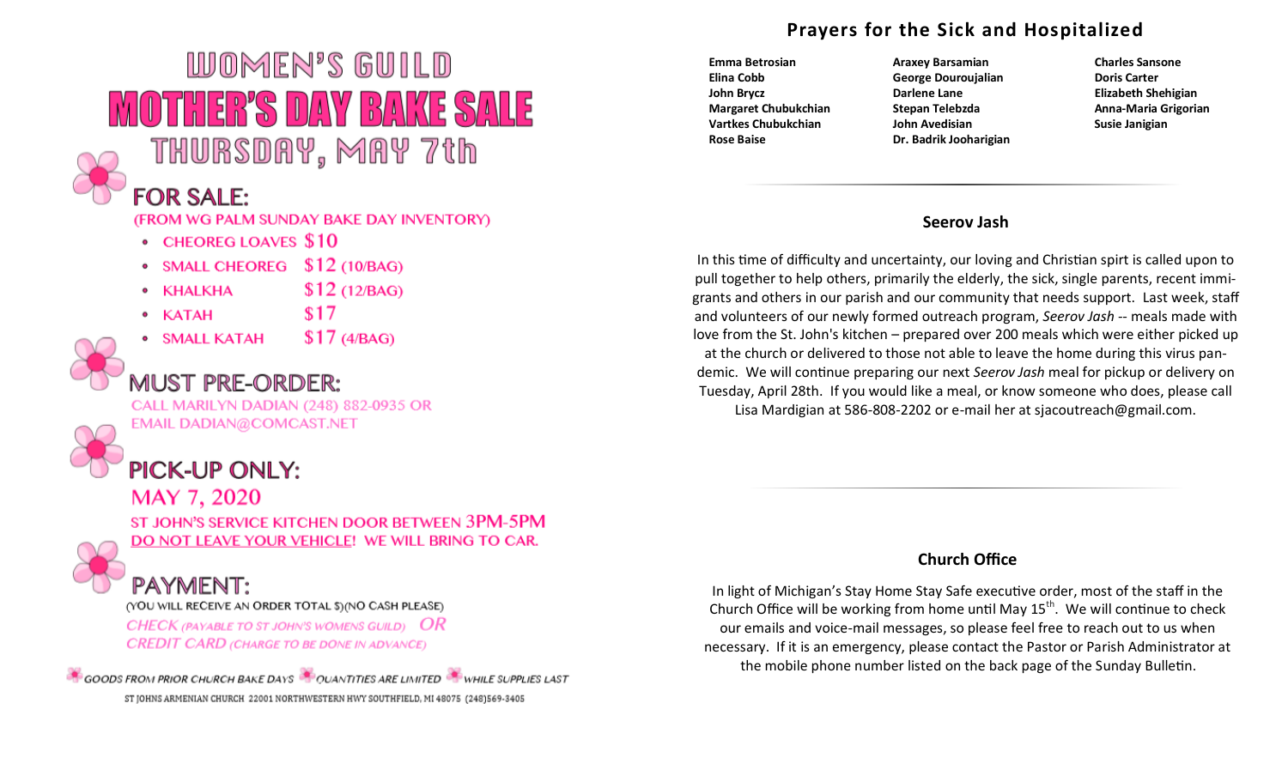# WOMEN'S GUILD MOTHER'S DAY BAKE SALE THURSDAY, MAY 7th



## **FOR SALE:**

(FROM WG PALM SUNDAY BAKE DAY INVENTORY)

- CHEOREG LOAVES \$10
- SMALL CHEOREG \$12 (10/BAG)
- $$12(12/BAG)$ • KHALKHA
- $\bullet$  KATAH
- SMALL KATAH
- $$17(4/BAG)$

 $$17$ 

# **MUST PRE-ORDER:**

CALL MARILYN DADIAN (248) 882-0935 OR **EMAIL DADIAN@COMCAST.NET** 

# **PICK-UP ONLY:**

## MAY 7, 2020

ST JOHN'S SERVICE KITCHEN DOOR BETWEEN 3PM-5PM DO NOT LEAVE YOUR VEHICLE! WE WILL BRING TO CAR.

## PAYMENT:

(YOU WILL RECEIVE AN ORDER TOTAL \$)(NO CASH PLEASE)

CHECK (PAYABLE TO ST JOHN'S WOMENS GUILD)  $OR$ **CREDIT CARD (CHARGE TO BE DONE IN ADVANCE)** 

GOODS FROM PRIOR CHURCH BAKE DAYS CUANTITIES ARE LIMITED WHILE SUPPLIES LAST ST JOHNS ARMENIAN CHURCH 22001 NORTHWESTERN HWY SOUTHFIELD, MI 48075 (248)569-3405

## **Prayers for the Sick and Hospitalized**

- 
- **Emma Betrosian Araxey Barsamian Charles Sansone Elina Cobb George Douroujalian Doris Carter John Brycz Darlene Lane Elizabeth Shehigian Margaret Chubukchian Stepan Telebzda Anna-Maria Grigorian Vartkes Chubukchian John Avedisian Susie Janigian** Susie Janigian **Rose Baise Dr. Badrik Jooharigian**
- 

#### **Seerov Jash**

In this time of difficulty and uncertainty, our loving and Christian spirt is called upon to pull together to help others, primarily the elderly, the sick, single parents, recent immigrants and others in our parish and our community that needs support. Last week, staff and volunteers of our newly formed outreach program, *Seerov Jash --* meals made with love from the St. John's kitchen – prepared over 200 meals which were either picked up at the church or delivered to those not able to leave the home during this virus pandemic. We will continue preparing our next *Seerov Jash* meal for pickup or delivery on Tuesday, April 28th. If you would like a meal, or know someone who does, please call Lisa Mardigian at 586-808-2202 or e-mail her at sjacoutreach@gmail.com.

#### **Church Office**

In light of Michigan's Stay Home Stay Safe executive order, most of the staff in the Church Office will be working from home until May  $15^{th}$ . We will continue to check our emails and voice-mail messages, so please feel free to reach out to us when necessary. If it is an emergency, please contact the Pastor or Parish Administrator at the mobile phone number listed on the back page of the Sunday Bulletin.